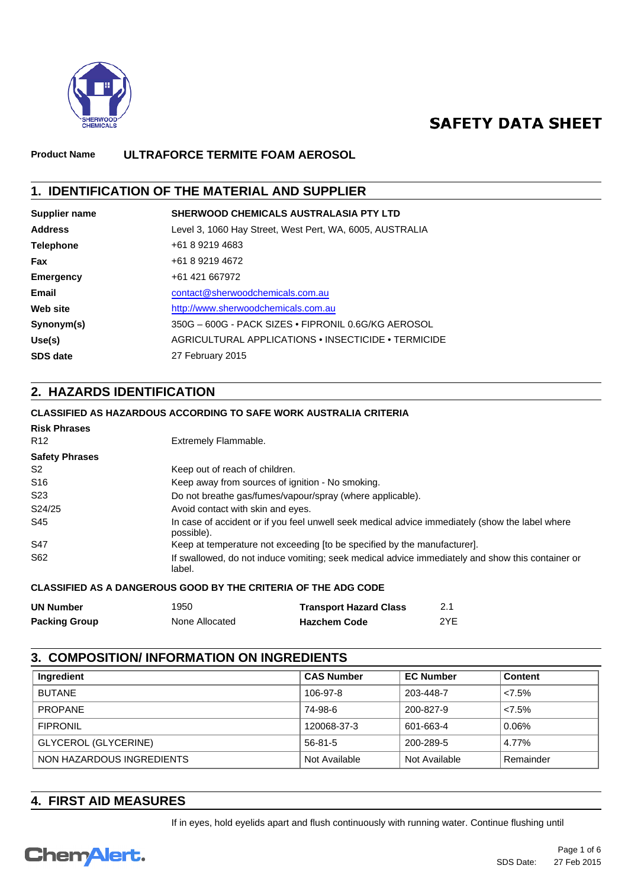

# **SAFETY DATA SHEET**

### **Product Name ULTRAFORCE TERMITE FOAM AEROSOL**

## **1. IDENTIFICATION OF THE MATERIAL AND SUPPLIER**

| Supplier name    | SHERWOOD CHEMICALS AUSTRALASIA PTY LTD                   |
|------------------|----------------------------------------------------------|
| <b>Address</b>   | Level 3, 1060 Hay Street, West Pert, WA, 6005, AUSTRALIA |
| <b>Telephone</b> | +61 8 9219 4683                                          |
| Fax              | +61 8 9219 4672                                          |
| Emergency        | +61 421 667972                                           |
| Email            | contact@sherwoodchemicals.com.au                         |
| Web site         | http://www.sherwoodchemicals.com.au                      |
| Synonym(s)       | 350G - 600G - PACK SIZES • FIPRONIL 0.6G/KG AEROSOL      |
| Use(s)           | AGRICULTURAL APPLICATIONS • INSECTICIDE • TERMICIDE      |
| <b>SDS date</b>  | 27 February 2015                                         |

# **2. HAZARDS IDENTIFICATION**

### **CLASSIFIED AS HAZARDOUS ACCORDING TO SAFE WORK AUSTRALIA CRITERIA**

| <b>Risk Phrases</b>   |                                                                                                               |
|-----------------------|---------------------------------------------------------------------------------------------------------------|
| R <sub>12</sub>       | Extremely Flammable.                                                                                          |
| <b>Safety Phrases</b> |                                                                                                               |
| S2                    | Keep out of reach of children.                                                                                |
| S <sub>16</sub>       | Keep away from sources of ignition - No smoking.                                                              |
| S <sub>23</sub>       | Do not breathe gas/fumes/vapour/spray (where applicable).                                                     |
| S24/25                | Avoid contact with skin and eyes.                                                                             |
| S45                   | In case of accident or if you feel unwell seek medical advice immediately (show the label where<br>possible). |
| S47                   | Keep at temperature not exceeding [to be specified by the manufacturer].                                      |
| S62                   | If swallowed, do not induce vomiting; seek medical advice immediately and show this container or<br>label.    |

### **CLASSIFIED AS A DANGEROUS GOOD BY THE CRITERIA OF THE ADG CODE**

| <b>UN Number</b>     | 1950           | <b>Transport Hazard Class</b> |     |
|----------------------|----------------|-------------------------------|-----|
| <b>Packing Group</b> | None Allocated | <b>Hazchem Code</b>           | 2YE |

### **3. COMPOSITION/ INFORMATION ON INGREDIENTS**

| Ingredient                | <b>CAS Number</b> | <b>EC Number</b> | <b>Content</b> |
|---------------------------|-------------------|------------------|----------------|
| <b>BUTANE</b>             | 106-97-8          | 203-448-7        | 27.5%          |
| <b>PROPANE</b>            | 74-98-6           | 200-827-9        | 27.5%          |
| <b>FIPRONIL</b>           | 120068-37-3       | 601-663-4        | 0.06%          |
| GLYCEROL (GLYCERINE)      | 56-81-5           | 200-289-5        | 4.77%          |
| NON HAZARDOUS INGREDIENTS | Not Available     | Not Available    | Remainder      |

## **4. FIRST AID MEASURES**

If in eyes, hold eyelids apart and flush continuously with running water. Continue flushing until

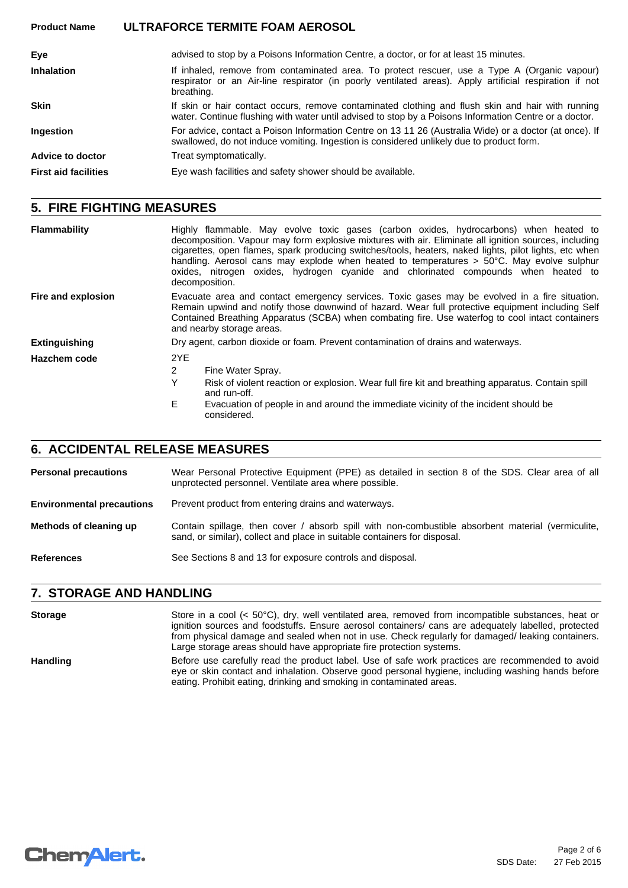### **Product Name ULTRAFORCE TERMITE FOAM AEROSOL**

| Eve                         | advised to stop by a Poisons Information Centre, a doctor, or for at least 15 minutes.                                                                                                                               |
|-----------------------------|----------------------------------------------------------------------------------------------------------------------------------------------------------------------------------------------------------------------|
| <b>Inhalation</b>           | If inhaled, remove from contaminated area. To protect rescuer, use a Type A (Organic vapour)<br>respirator or an Air-line respirator (in poorly ventilated areas). Apply artificial respiration if not<br>breathing. |
| <b>Skin</b>                 | If skin or hair contact occurs, remove contaminated clothing and flush skin and hair with running<br>water. Continue flushing with water until advised to stop by a Poisons Information Centre or a doctor.          |
| Ingestion                   | For advice, contact a Poison Information Centre on 13 11 26 (Australia Wide) or a doctor (at once). If<br>swallowed, do not induce vomiting. Ingestion is considered unlikely due to product form.                   |
| Advice to doctor            | Treat symptomatically.                                                                                                                                                                                               |
| <b>First aid facilities</b> | Eye wash facilities and safety shower should be available.                                                                                                                                                           |

# **5. FIRE FIGHTING MEASURES**

| Flammability         | Highly flammable. May evolve toxic gases (carbon oxides, hydrocarbons) when heated to<br>decomposition. Vapour may form explosive mixtures with air. Eliminate all ignition sources, including<br>cigarettes, open flames, spark producing switches/tools, heaters, naked lights, pilot lights, etc when<br>handling. Aerosol cans may explode when heated to temperatures $> 50^{\circ}$ C. May evolve sulphur<br>oxides, nitrogen oxides, hydrogen cyanide and chlorinated compounds when heated to<br>decomposition. |  |  |
|----------------------|-------------------------------------------------------------------------------------------------------------------------------------------------------------------------------------------------------------------------------------------------------------------------------------------------------------------------------------------------------------------------------------------------------------------------------------------------------------------------------------------------------------------------|--|--|
| Fire and explosion   | Evacuate area and contact emergency services. Toxic gases may be evolved in a fire situation.<br>Remain upwind and notify those downwind of hazard. Wear full protective equipment including Self<br>Contained Breathing Apparatus (SCBA) when combating fire. Use waterfog to cool intact containers<br>and nearby storage areas.                                                                                                                                                                                      |  |  |
| <b>Extinguishing</b> | Dry agent, carbon dioxide or foam. Prevent contamination of drains and waterways.                                                                                                                                                                                                                                                                                                                                                                                                                                       |  |  |
| Hazchem code         | 2YE                                                                                                                                                                                                                                                                                                                                                                                                                                                                                                                     |  |  |
|                      | 2<br>Fine Water Spray.                                                                                                                                                                                                                                                                                                                                                                                                                                                                                                  |  |  |
|                      | Υ<br>Risk of violent reaction or explosion. Wear full fire kit and breathing apparatus. Contain spill<br>and run-off.                                                                                                                                                                                                                                                                                                                                                                                                   |  |  |
|                      | E<br>Evacuation of people in and around the immediate vicinity of the incident should be<br>considered.                                                                                                                                                                                                                                                                                                                                                                                                                 |  |  |

# **6. ACCIDENTAL RELEASE MEASURES**

| <b>Personal precautions</b>      | Wear Personal Protective Equipment (PPE) as detailed in section 8 of the SDS. Clear area of all<br>unprotected personnel. Ventilate area where possible.                       |
|----------------------------------|--------------------------------------------------------------------------------------------------------------------------------------------------------------------------------|
| <b>Environmental precautions</b> | Prevent product from entering drains and waterways.                                                                                                                            |
| Methods of cleaning up           | Contain spillage, then cover / absorb spill with non-combustible absorbent material (vermiculite,<br>sand, or similar), collect and place in suitable containers for disposal. |
| <b>References</b>                | See Sections 8 and 13 for exposure controls and disposal.                                                                                                                      |

### **7. STORAGE AND HANDLING**

| <b>Storage</b>  | Store in a cool ( $\lt 50^{\circ}$ C), dry, well ventilated area, removed from incompatible substances, heat or<br>ignition sources and foodstuffs. Ensure aerosol containers/ cans are adequately labelled, protected<br>from physical damage and sealed when not in use. Check regularly for damaged/leaking containers.<br>Large storage areas should have appropriate fire protection systems. |
|-----------------|----------------------------------------------------------------------------------------------------------------------------------------------------------------------------------------------------------------------------------------------------------------------------------------------------------------------------------------------------------------------------------------------------|
| <b>Handling</b> | Before use carefully read the product label. Use of safe work practices are recommended to avoid<br>eye or skin contact and inhalation. Observe good personal hygiene, including washing hands before<br>eating. Prohibit eating, drinking and smoking in contaminated areas.                                                                                                                      |

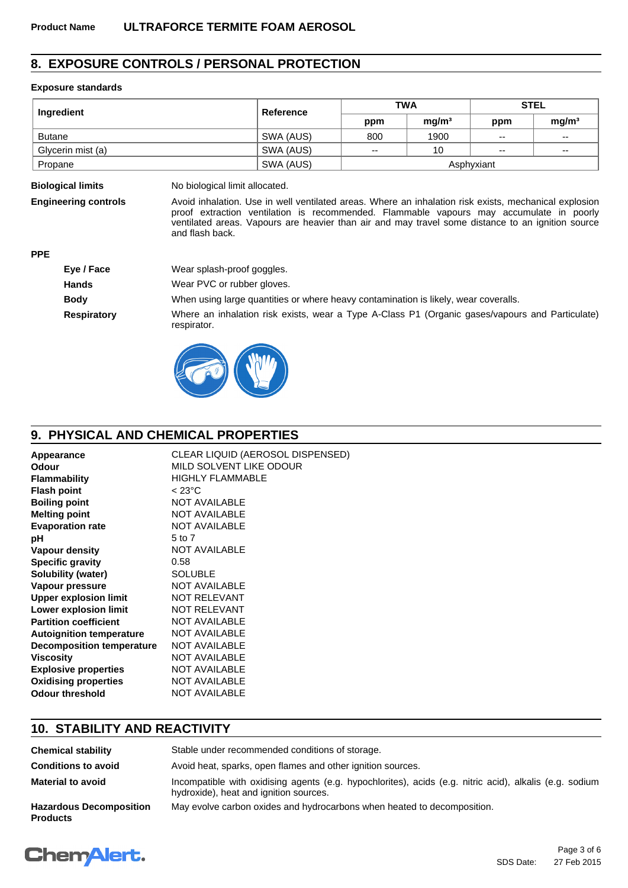## **8. EXPOSURE CONTROLS / PERSONAL PROTECTION**

### **Exposure standards**

| Ingredient        | Reference | <b>TWA</b> |                   | <b>STEL</b>              |                          |
|-------------------|-----------|------------|-------------------|--------------------------|--------------------------|
|                   |           | ppm        | mg/m <sup>3</sup> | ppm                      | mq/m <sup>3</sup>        |
| <b>Butane</b>     | SWA (AUS) | 800        | 1900              | $\overline{\phantom{a}}$ | $\overline{\phantom{a}}$ |
| Glycerin mist (a) | SWA (AUS) | --         | 10                | $\overline{\phantom{a}}$ | $\overline{\phantom{a}}$ |
| Propane           | SWA (AUS) |            |                   | Asphyxiant               |                          |

**Biological limits** No biological limit allocated.

**Engineering controls** Avoid inhalation. Use in well ventilated areas. Where an inhalation risk exists, mechanical explosion proof extraction ventilation is recommended. Flammable vapours may accumulate in poorly ventilated areas. Vapours are heavier than air and may travel some distance to an ignition source and flash back.

**PPE**

| Eye / Face         | Wear splash-proof goggles.                                                                                     |
|--------------------|----------------------------------------------------------------------------------------------------------------|
| <b>Hands</b>       | Wear PVC or rubber gloves.                                                                                     |
| <b>Body</b>        | When using large quantities or where heavy contamination is likely, wear coveralls.                            |
| <b>Respiratory</b> | Where an inhalation risk exists, wear a Type A-Class P1 (Organic gases/vapours and Particulate)<br>respirator. |
|                    |                                                                                                                |



# **9. PHYSICAL AND CHEMICAL PROPERTIES**

| Appearance                       | CLEAR LIQUID (AEROSOL DISPENSED) |
|----------------------------------|----------------------------------|
| Odour                            | MILD SOLVENT LIKE ODOUR          |
| <b>Flammability</b>              | <b>HIGHLY FLAMMABLE</b>          |
| <b>Flash point</b>               | $< 23^{\circ}$ C                 |
| <b>Boiling point</b>             | <b>NOT AVAILABLE</b>             |
| <b>Melting point</b>             | <b>NOT AVAILABLE</b>             |
| <b>Evaporation rate</b>          | <b>NOT AVAILABLE</b>             |
| рH                               | 5 to 7                           |
| Vapour density                   | <b>NOT AVAILABLE</b>             |
| <b>Specific gravity</b>          | 0.58                             |
| Solubility (water)               | <b>SOLUBLE</b>                   |
| Vapour pressure                  | <b>NOT AVAILABLE</b>             |
| <b>Upper explosion limit</b>     | <b>NOT RELEVANT</b>              |
| Lower explosion limit            | <b>NOT RELEVANT</b>              |
| <b>Partition coefficient</b>     | <b>NOT AVAILABLE</b>             |
| <b>Autoignition temperature</b>  | <b>NOT AVAILABLE</b>             |
| <b>Decomposition temperature</b> | <b>NOT AVAILABLE</b>             |
| Viscosity                        | <b>NOT AVAILABLE</b>             |
| <b>Explosive properties</b>      | <b>NOT AVAILABLE</b>             |
| <b>Oxidising properties</b>      | <b>NOT AVAILABLE</b>             |
| <b>Odour threshold</b>           | <b>NOT AVAILABLE</b>             |

### **10. STABILITY AND REACTIVITY**

| <b>Chemical stability</b>                         | Stable under recommended conditions of storage.                                                                                                   |  |
|---------------------------------------------------|---------------------------------------------------------------------------------------------------------------------------------------------------|--|
| <b>Conditions to avoid</b>                        | Avoid heat, sparks, open flames and other ignition sources.                                                                                       |  |
| <b>Material to avoid</b>                          | Incompatible with oxidising agents (e.g. hypochlorites), acids (e.g. nitric acid), alkalis (e.g. sodium<br>hydroxide), heat and ignition sources. |  |
| <b>Hazardous Decomposition</b><br><b>Products</b> | May evolve carbon oxides and hydrocarbons when heated to decomposition.                                                                           |  |

# **ChemAlert.**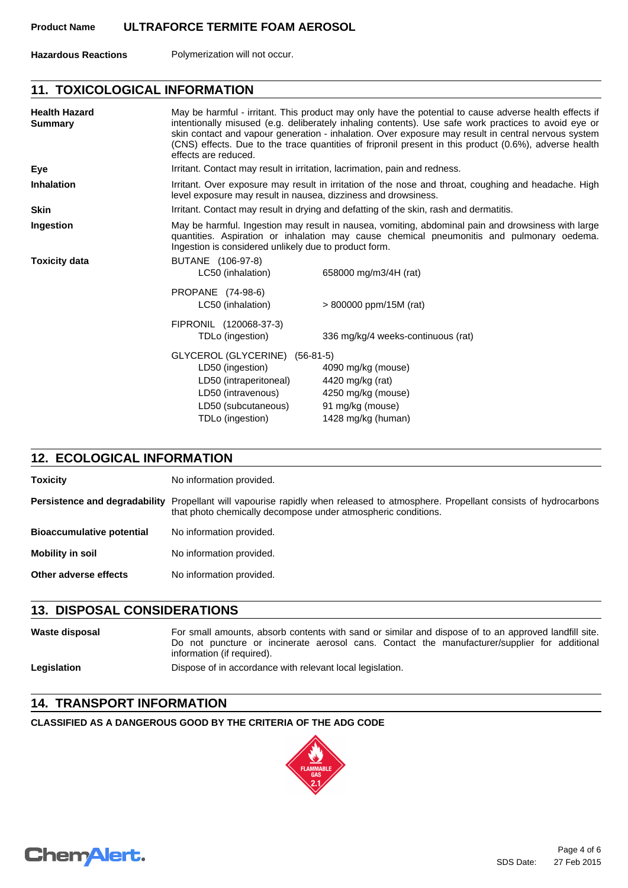**Hazardous Reactions** Polymerization will not occur.

### **11. TOXICOLOGICAL INFORMATION**

| <b>Health Hazard</b><br><b>Summary</b> | effects are reduced.                                                                                                                                                                                                                                     | May be harmful - irritant. This product may only have the potential to cause adverse health effects if<br>intentionally misused (e.g. deliberately inhaling contents). Use safe work practices to avoid eye or<br>skin contact and vapour generation - inhalation. Over exposure may result in central nervous system<br>(CNS) effects. Due to the trace quantities of fripronil present in this product (0.6%), adverse health |  |
|----------------------------------------|----------------------------------------------------------------------------------------------------------------------------------------------------------------------------------------------------------------------------------------------------------|---------------------------------------------------------------------------------------------------------------------------------------------------------------------------------------------------------------------------------------------------------------------------------------------------------------------------------------------------------------------------------------------------------------------------------|--|
| Eye                                    |                                                                                                                                                                                                                                                          | Irritant. Contact may result in irritation, lacrimation, pain and redness.                                                                                                                                                                                                                                                                                                                                                      |  |
| <b>Inhalation</b>                      |                                                                                                                                                                                                                                                          | Irritant. Over exposure may result in irritation of the nose and throat, coughing and headache. High<br>level exposure may result in nausea, dizziness and drowsiness.                                                                                                                                                                                                                                                          |  |
| <b>Skin</b>                            |                                                                                                                                                                                                                                                          | Irritant. Contact may result in drying and defatting of the skin, rash and dermatitis.                                                                                                                                                                                                                                                                                                                                          |  |
| Ingestion                              | May be harmful. Ingestion may result in nausea, vomiting, abdominal pain and drowsiness with large<br>quantities. Aspiration or inhalation may cause chemical pneumonitis and pulmonary oedema.<br>Ingestion is considered unlikely due to product form. |                                                                                                                                                                                                                                                                                                                                                                                                                                 |  |
| <b>Toxicity data</b>                   | BUTANE (106-97-8)<br>LC50 (inhalation)                                                                                                                                                                                                                   | 658000 mg/m3/4H (rat)                                                                                                                                                                                                                                                                                                                                                                                                           |  |
|                                        | PROPANE (74-98-6)<br>LC50 (inhalation)                                                                                                                                                                                                                   | $> 800000$ ppm/15M (rat)                                                                                                                                                                                                                                                                                                                                                                                                        |  |
|                                        | FIPRONIL (120068-37-3)                                                                                                                                                                                                                                   |                                                                                                                                                                                                                                                                                                                                                                                                                                 |  |
|                                        | TDLo (ingestion)                                                                                                                                                                                                                                         | 336 mg/kg/4 weeks-continuous (rat)                                                                                                                                                                                                                                                                                                                                                                                              |  |
|                                        | GLYCEROL (GLYCERINE) (56-81-5)                                                                                                                                                                                                                           |                                                                                                                                                                                                                                                                                                                                                                                                                                 |  |
|                                        | LD50 (ingestion)                                                                                                                                                                                                                                         | 4090 mg/kg (mouse)                                                                                                                                                                                                                                                                                                                                                                                                              |  |
|                                        | LD50 (intraperitoneal)                                                                                                                                                                                                                                   | 4420 mg/kg (rat)                                                                                                                                                                                                                                                                                                                                                                                                                |  |
|                                        | LD50 (intravenous)                                                                                                                                                                                                                                       | 4250 mg/kg (mouse)                                                                                                                                                                                                                                                                                                                                                                                                              |  |
|                                        | LD50 (subcutaneous)                                                                                                                                                                                                                                      | 91 mg/kg (mouse)                                                                                                                                                                                                                                                                                                                                                                                                                |  |
|                                        | TDLo (ingestion)                                                                                                                                                                                                                                         | 1428 mg/kg (human)                                                                                                                                                                                                                                                                                                                                                                                                              |  |

### **12. ECOLOGICAL INFORMATION**

| <b>Toxicity</b>                  | No information provided.                                                                                                                                            |
|----------------------------------|---------------------------------------------------------------------------------------------------------------------------------------------------------------------|
| Persistence and degradability    | Propellant will vapourise rapidly when released to atmosphere. Propellant consists of hydrocarbons<br>that photo chemically decompose under atmospheric conditions. |
| <b>Bioaccumulative potential</b> | No information provided.                                                                                                                                            |
| <b>Mobility in soil</b>          | No information provided.                                                                                                                                            |
| Other adverse effects            | No information provided.                                                                                                                                            |

### **13. DISPOSAL CONSIDERATIONS**

Waste disposal **For small amounts, absorb contents with sand or similar and dispose of to an approved landfill site.** Do not puncture or incinerate aerosol cans. Contact the manufacturer/supplier for additional information (if required). Legislation **Dispose of in accordance with relevant local legislation.** 

### **14. TRANSPORT INFORMATION**

**CLASSIFIED AS A DANGEROUS GOOD BY THE CRITERIA OF THE ADG CODE**



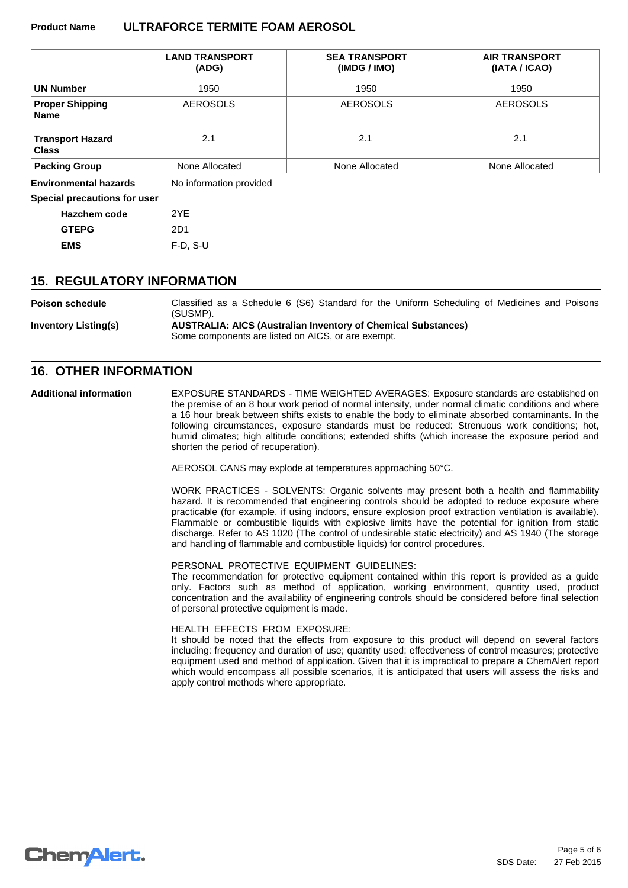### **Product Name ULTRAFORCE TERMITE FOAM AEROSOL**

|                                         | <b>LAND TRANSPORT</b><br>(ADG) | <b>SEA TRANSPORT</b><br>(IMDG / IMO) | <b>AIR TRANSPORT</b><br>(IATA / ICAO) |
|-----------------------------------------|--------------------------------|--------------------------------------|---------------------------------------|
| UN Number                               | 1950                           | 1950                                 | 1950                                  |
| <b>Proper Shipping</b><br><b>Name</b>   | <b>AEROSOLS</b>                | <b>AEROSOLS</b>                      | <b>AEROSOLS</b>                       |
| <b>Transport Hazard</b><br><b>Class</b> | 2.1                            | 2.1                                  | 2.1                                   |
| <b>Packing Group</b>                    | None Allocated                 | None Allocated                       | None Allocated                        |
| <b>Environmental hazards</b>            | No information provided        |                                      |                                       |

**Special precautions for user**

| <b>Hazchem code</b> | 2YF        |
|---------------------|------------|
| <b>GTEPG</b>        | 2D1        |
| <b>EMS</b>          | $F-D, S-U$ |

### **15. REGULATORY INFORMATION**

| <b>Poison schedule</b>      | Classified as a Schedule 6 (S6) Standard for the Uniform Scheduling of Medicines and Poisons<br>(SUSMP).                   |
|-----------------------------|----------------------------------------------------------------------------------------------------------------------------|
| <b>Inventory Listing(s)</b> | <b>AUSTRALIA: AICS (Australian Inventory of Chemical Substances)</b><br>Some components are listed on AICS, or are exempt. |

### **16. OTHER INFORMATION**

**Additional information**

EXPOSURE STANDARDS - TIME WEIGHTED AVERAGES: Exposure standards are established on the premise of an 8 hour work period of normal intensity, under normal climatic conditions and where a 16 hour break between shifts exists to enable the body to eliminate absorbed contaminants. In the following circumstances, exposure standards must be reduced: Strenuous work conditions; hot, humid climates; high altitude conditions; extended shifts (which increase the exposure period and shorten the period of recuperation).

AEROSOL CANS may explode at temperatures approaching 50°C.

WORK PRACTICES - SOLVENTS: Organic solvents may present both a health and flammability hazard. It is recommended that engineering controls should be adopted to reduce exposure where practicable (for example, if using indoors, ensure explosion proof extraction ventilation is available). Flammable or combustible liquids with explosive limits have the potential for ignition from static discharge. Refer to AS 1020 (The control of undesirable static electricity) and AS 1940 (The storage and handling of flammable and combustible liquids) for control procedures.

PERSONAL PROTECTIVE EQUIPMENT GUIDELINES:

The recommendation for protective equipment contained within this report is provided as a guide only. Factors such as method of application, working environment, quantity used, product concentration and the availability of engineering controls should be considered before final selection of personal protective equipment is made.

HEALTH EFFECTS FROM EXPOSURE:

It should be noted that the effects from exposure to this product will depend on several factors including: frequency and duration of use; quantity used; effectiveness of control measures; protective equipment used and method of application. Given that it is impractical to prepare a ChemAlert report which would encompass all possible scenarios, it is anticipated that users will assess the risks and apply control methods where appropriate.